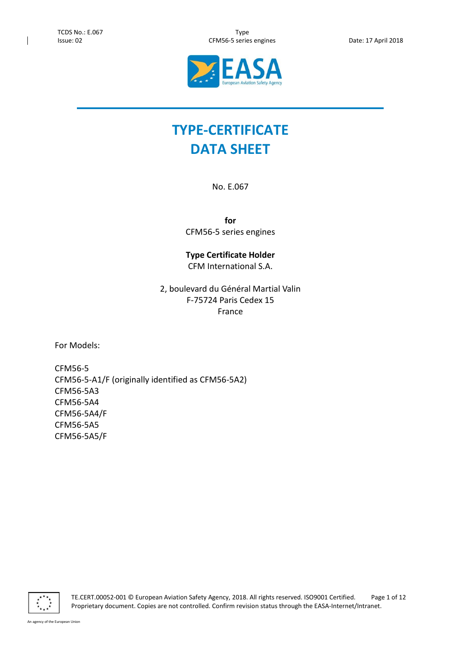Issue: 02 CFM56-5 series engines Date: 17 April 2018



# **TYPE-CERTIFICATE DATA SHEET**

No. E.067

**for** CFM56-5 series engines

# **Type Certificate Holder**

CFM International S.A.

# 2, boulevard du Général Martial Valin F-75724 Paris Cedex 15 France

For Models:

CFM56-5 CFM56-5-A1/F (originally identified as CFM56-5A2) CFM56-5A3 CFM56-5A4 CFM56-5A4/F CFM56-5A5 CFM56-5A5/F



TE.CERT.00052-001 © European Aviation Safety Agency, 2018. All rights reserved. ISO9001 Certified. Page 1 of 12 Proprietary document. Copies are not controlled. Confirm revision status through the EASA-Internet/Intranet.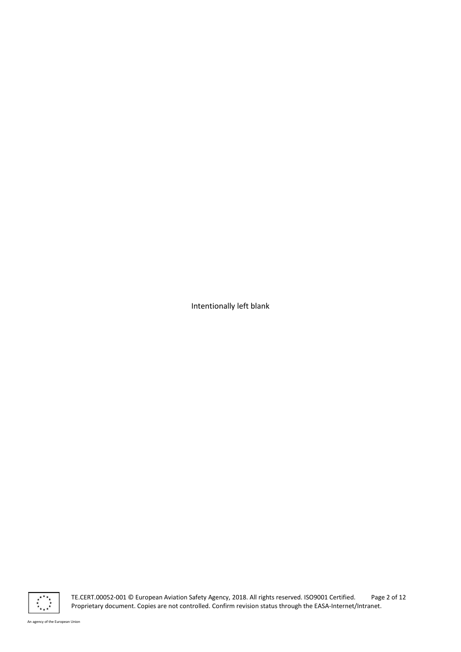Intentionally left blank



TE.CERT.00052-001 © European Aviation Safety Agency, 2018. All rights reserved. ISO9001 Certified. Page 2 of 12 Proprietary document. Copies are not controlled. Confirm revision status through the EASA-Internet/Intranet.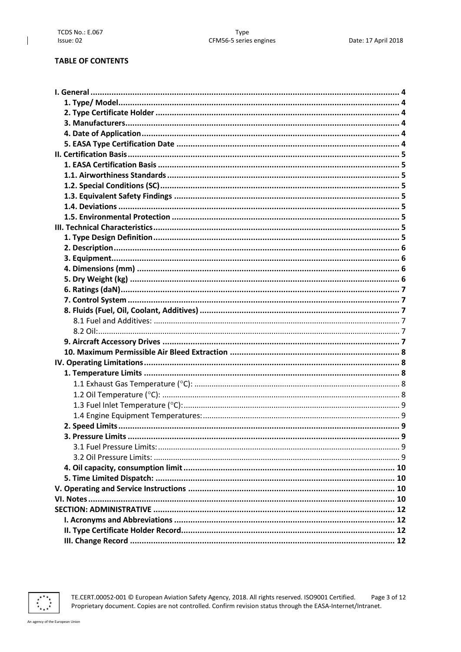## **TABLE OF CONTENTS**



TE.CERT.00052-001 © European Aviation Safety Agency, 2018. All rights reserved. ISO9001 Certified. Page 3 of 12 Proprietary document. Copies are not controlled. Confirm revision status through the EASA-Internet/Intranet.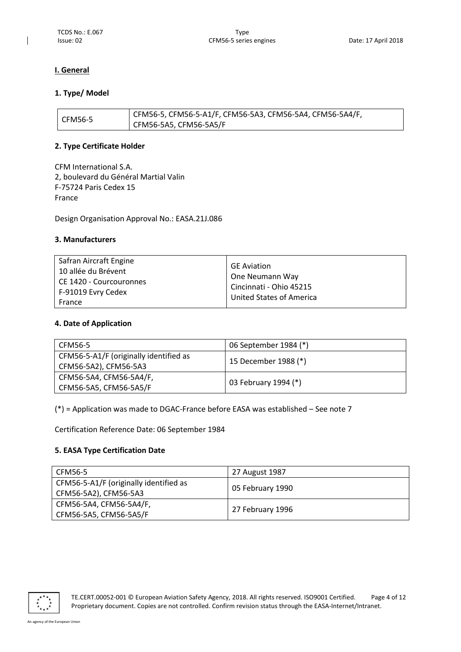#### <span id="page-3-0"></span>**I. General**

#### <span id="page-3-1"></span>**1. Type/ Model**

|         | CFM56-5, CFM56-5-A1/F, CFM56-5A3, CFM56-5A4, CFM56-5A4/F, |
|---------|-----------------------------------------------------------|
| CFM56-5 | CFM56-5A5, CFM56-5A5/F                                    |

#### <span id="page-3-2"></span>**2. Type Certificate Holder**

CFM International S.A. 2, boulevard du Général Martial Valin F-75724 Paris Cedex 15 France

Design Organisation Approval No.: EASA.21J.086

#### <span id="page-3-3"></span>**3. Manufacturers**

| Safran Aircraft Engine<br>  10 allée du Brévent | <b>GE Aviation</b>                         |
|-------------------------------------------------|--------------------------------------------|
| CE 1420 - Courcouronnes<br>F-91019 Evry Cedex   | One Neumann Way<br>Cincinnati - Ohio 45215 |
| France                                          | United States of America                   |

#### <span id="page-3-4"></span>**4. Date of Application**

| CFM56-5                                                         | 06 September 1984 (*) |
|-----------------------------------------------------------------|-----------------------|
| CFM56-5-A1/F (originally identified as<br>CFM56-5A2), CFM56-5A3 | 15 December 1988 (*)  |
| CFM56-5A4, CFM56-5A4/F,<br>CFM56-5A5, CFM56-5A5/F               | 03 February 1994 (*)  |

(\*) = Application was made to DGAC-France before EASA was established – See note 7

Certification Reference Date: 06 September 1984

#### <span id="page-3-5"></span>**5. EASA Type Certification Date**

| CFM56-5                                | 27 August 1987   |
|----------------------------------------|------------------|
| CFM56-5-A1/F (originally identified as | 05 February 1990 |
| CFM56-5A2), CFM56-5A3                  |                  |
| CFM56-5A4, CFM56-5A4/F,                |                  |
| CFM56-5A5, CFM56-5A5/F                 | 27 February 1996 |



TE.CERT.00052-001 © European Aviation Safety Agency, 2018. All rights reserved. ISO9001 Certified. Page 4 of 12 Proprietary document. Copies are not controlled. Confirm revision status through the EASA-Internet/Intranet.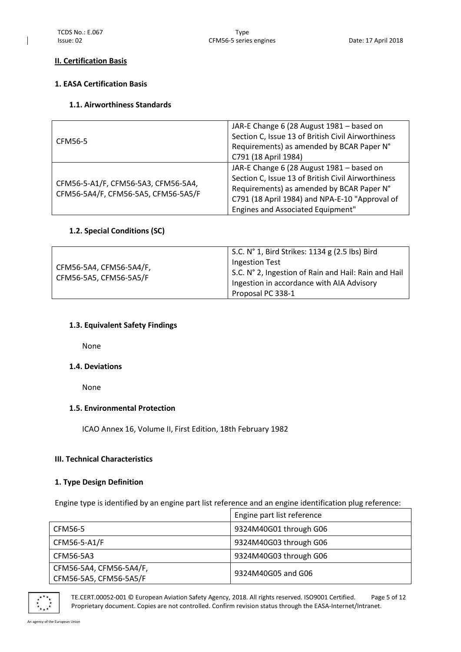#### <span id="page-4-0"></span>**II. Certification Basis**

#### <span id="page-4-1"></span>**1. EASA Certification Basis**

#### <span id="page-4-2"></span>**1.1. Airworthiness Standards**

| <b>CFM56-5</b>                                                             | JAR-E Change 6 (28 August 1981 - based on          |
|----------------------------------------------------------------------------|----------------------------------------------------|
|                                                                            | Section C, Issue 13 of British Civil Airworthiness |
|                                                                            | Requirements) as amended by BCAR Paper N°          |
|                                                                            | C791 (18 April 1984)                               |
| CFM56-5-A1/F, CFM56-5A3, CFM56-5A4,<br>CFM56-5A4/F, CFM56-5A5, CFM56-5A5/F | JAR-E Change 6 (28 August 1981 - based on          |
|                                                                            | Section C, Issue 13 of British Civil Airworthiness |
|                                                                            | Requirements) as amended by BCAR Paper N°          |
|                                                                            | C791 (18 April 1984) and NPA-E-10 "Approval of     |
|                                                                            | Engines and Associated Equipment"                  |

#### <span id="page-4-3"></span>**1.2. Special Conditions (SC)**

| CFM56-5A4, CFM56-5A4/F,<br>CFM56-5A5, CFM56-5A5/F | S.C. N° 1, Bird Strikes: 1134 g (2.5 lbs) Bird       |
|---------------------------------------------------|------------------------------------------------------|
|                                                   | Ingestion Test                                       |
|                                                   | S.C. N° 2, Ingestion of Rain and Hail: Rain and Hail |
|                                                   | Ingestion in accordance with AIA Advisory            |
|                                                   | Proposal PC 338-1                                    |

#### <span id="page-4-4"></span>**1.3. Equivalent Safety Findings**

None

#### <span id="page-4-5"></span>**1.4. Deviations**

None

#### <span id="page-4-6"></span>**1.5. Environmental Protection**

ICAO Annex 16, Volume II, First Edition, 18th February 1982

#### <span id="page-4-7"></span>**III. Technical Characteristics**

#### <span id="page-4-8"></span>**1. Type Design Definition**

Engine type is identified by an engine part list reference and an engine identification plug reference:

|                                                   | Engine part list reference |
|---------------------------------------------------|----------------------------|
| CFM56-5                                           | 9324M40G01 through G06     |
| CFM56-5-A1/F                                      | 9324M40G03 through G06     |
| CFM56-5A3                                         | 9324M40G03 through G06     |
| CFM56-5A4, CFM56-5A4/F,<br>CFM56-5A5, CFM56-5A5/F | 9324M40G05 and G06         |



TE.CERT.00052-001 © European Aviation Safety Agency, 2018. All rights reserved. ISO9001 Certified. Page 5 of 12 Proprietary document. Copies are not controlled. Confirm revision status through the EASA-Internet/Intranet.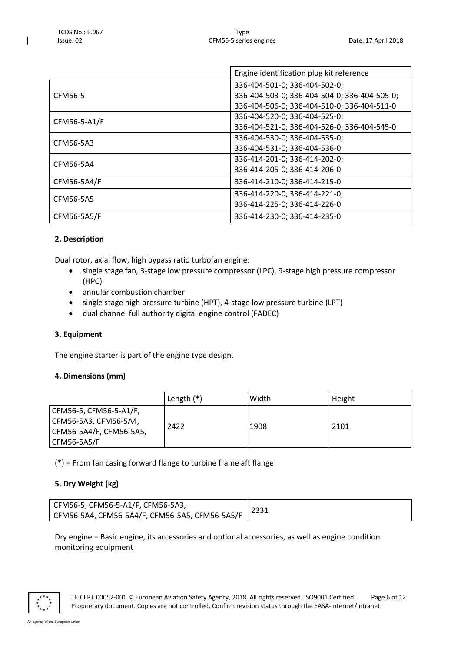|              | Engine identification plug kit reference     |  |
|--------------|----------------------------------------------|--|
|              | 336-404-501-0; 336-404-502-0;                |  |
| CFM56-5      | 336-404-503-0; 336-404-504-0; 336-404-505-0; |  |
|              | 336-404-506-0; 336-404-510-0; 336-404-511-0  |  |
|              | 336-404-520-0; 336-404-525-0;                |  |
| CFM56-5-A1/F | 336-404-521-0; 336-404-526-0; 336-404-545-0  |  |
| CFM56-5A3    | 336-404-530-0; 336-404-535-0;                |  |
|              | 336-404-531-0; 336-404-536-0                 |  |
| CFM56-5A4    | 336-414-201-0; 336-414-202-0;                |  |
|              | 336-414-205-0; 336-414-206-0                 |  |
| CFM56-5A4/F  | 336-414-210-0; 336-414-215-0                 |  |
| CFM56-5A5    | 336-414-220-0; 336-414-221-0;                |  |
|              | 336-414-225-0; 336-414-226-0                 |  |
| CFM56-5A5/F  | 336-414-230-0; 336-414-235-0                 |  |

#### <span id="page-5-0"></span>**2. Description**

Dual rotor, axial flow, high bypass ratio turbofan engine:

- single stage fan, 3-stage low pressure compressor (LPC), 9-stage high pressure compressor (HPC)
- annular combustion chamber
- single stage high pressure turbine (HPT), 4-stage low pressure turbine (LPT)
- dual channel full authority digital engine control (FADEC)

#### <span id="page-5-1"></span>**3. Equipment**

The engine starter is part of the engine type design.

## <span id="page-5-2"></span>**4. Dimensions (mm)**

|                                                                                            | Length $(*)$ | Width | Height |
|--------------------------------------------------------------------------------------------|--------------|-------|--------|
| CFM56-5, CFM56-5-A1/F,<br> CFM56-5A3, CFM56-5A4,<br>CFM56-5A4/F, CFM56-5A5,<br>CFM56-5A5/F | 2422         | 1908  | 2101   |

(\*) = From fan casing forward flange to turbine frame aft flange

#### <span id="page-5-3"></span>**5. Dry Weight (kg)**

| CFM56-5, CFM56-5-A1/F, CFM56-5A3,              |  |
|------------------------------------------------|--|
| CFM56-5A4, CFM56-5A4/F, CFM56-5A5, CFM56-5A5/F |  |

Dry engine = Basic engine, its accessories and optional accessories, as well as engine condition monitoring equipment



TE.CERT.00052-001 © European Aviation Safety Agency, 2018. All rights reserved. ISO9001 Certified. Page 6 of 12 Proprietary document. Copies are not controlled. Confirm revision status through the EASA-Internet/Intranet.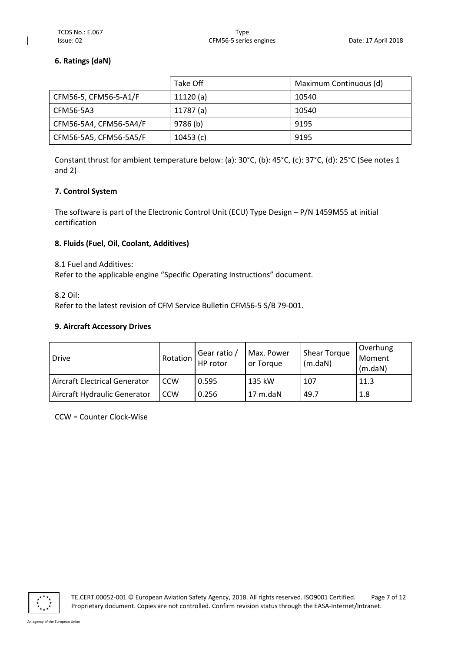#### <span id="page-6-0"></span>**6. Ratings (daN)**

|                        | Take Off | Maximum Continuous (d) |
|------------------------|----------|------------------------|
| CFM56-5, CFM56-5-A1/F  | 11120(a) | 10540                  |
| CFM56-5A3              | 11787(a) | 10540                  |
| CFM56-5A4, CFM56-5A4/F | 9786 (b) | 9195                   |
| CFM56-5A5, CFM56-5A5/F | 10453(c) | 9195                   |

Constant thrust for ambient temperature below: (a): 30°C, (b): 45°C, (c): 37°C, (d): 25°C (See notes 1 and 2)

#### <span id="page-6-1"></span>**7. Control System**

The software is part of the Electronic Control Unit (ECU) Type Design – P/N 1459M55 at initial certification

#### <span id="page-6-2"></span>**8. Fluids (Fuel, Oil, Coolant, Additives)**

<span id="page-6-3"></span>8.1 Fuel and Additives:

Refer to the applicable engine "Specific Operating Instructions" document.

<span id="page-6-4"></span>8.2 Oil:

Refer to the latest revision of CFM Service Bulletin CFM56-5 S/B 79-001.

#### <span id="page-6-5"></span>**9. Aircraft Accessory Drives**

| <b>Drive</b>                  | Rotation   | Gear ratio<br>HP rotor | Max. Power<br>or Torque | <b>Shear Torque</b><br>(m.daN) | Overhung<br>Moment<br>(m.daN) |
|-------------------------------|------------|------------------------|-------------------------|--------------------------------|-------------------------------|
| Aircraft Electrical Generator | <b>CCW</b> | 0.595                  | 135 kW                  | 107                            | 11.3                          |
| Aircraft Hydraulic Generator  | <b>CCW</b> | 0.256                  | 17 m.daN                | 49.7                           | 1.8                           |

CCW = Counter Clock-Wise

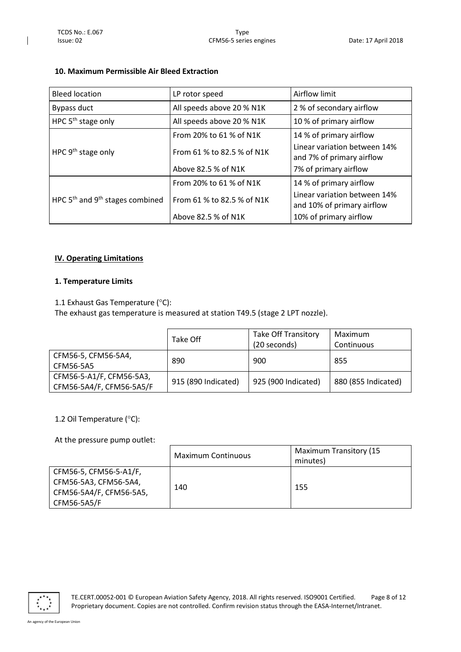#### <span id="page-7-0"></span>**10. Maximum Permissible Air Bleed Extraction**

| <b>Bleed location</b>               | LP rotor speed             | Airflow limit                                              |
|-------------------------------------|----------------------------|------------------------------------------------------------|
| Bypass duct                         | All speeds above 20 % N1K  | 2 % of secondary airflow                                   |
| HPC 5 <sup>th</sup> stage only      | All speeds above 20 % N1K  | 10 % of primary airflow                                    |
|                                     | From 20% to 61 % of N1K    | 14 % of primary airflow                                    |
| HPC 9 <sup>th</sup> stage only      | From 61 % to 82.5 % of N1K | Linear variation between 14%<br>and 7% of primary airflow  |
|                                     | Above 82.5 % of N1K        | 7% of primary airflow                                      |
|                                     | From 20% to 61 % of N1K    | 14 % of primary airflow                                    |
| HPC $5th$ and $9th$ stages combined | From 61 % to 82.5 % of N1K | Linear variation between 14%<br>and 10% of primary airflow |
|                                     | Above 82.5 % of N1K        | 10% of primary airflow                                     |

#### <span id="page-7-1"></span>**IV. Operating Limitations**

#### <span id="page-7-2"></span>**1. Temperature Limits**

## <span id="page-7-3"></span>1.1 Exhaust Gas Temperature ( $^{\circ}$ C):

The exhaust gas temperature is measured at station T49.5 (stage 2 LPT nozzle).

|                                                      | Take Off            | <b>Take Off Transitory</b><br>(20 seconds) | Maximum<br>Continuous |
|------------------------------------------------------|---------------------|--------------------------------------------|-----------------------|
| CFM56-5, CFM56-5A4,<br>CFM56-5A5                     | 890                 | 900                                        | 855                   |
| CFM56-5-A1/F, CFM56-5A3,<br>CFM56-5A4/F, CFM56-5A5/F | 915 (890 Indicated) | 925 (900 Indicated)                        | 880 (855 Indicated)   |

## <span id="page-7-4"></span>1.2 Oil Temperature (°C):

#### At the pressure pump outlet:

|                                                                                           | <b>Maximum Continuous</b> | <b>Maximum Transitory (15</b><br>minutes) |
|-------------------------------------------------------------------------------------------|---------------------------|-------------------------------------------|
| CFM56-5, CFM56-5-A1/F,<br>CFM56-5A3, CFM56-5A4,<br>CFM56-5A4/F, CFM56-5A5,<br>CFM56-5A5/F | 140                       | 155                                       |

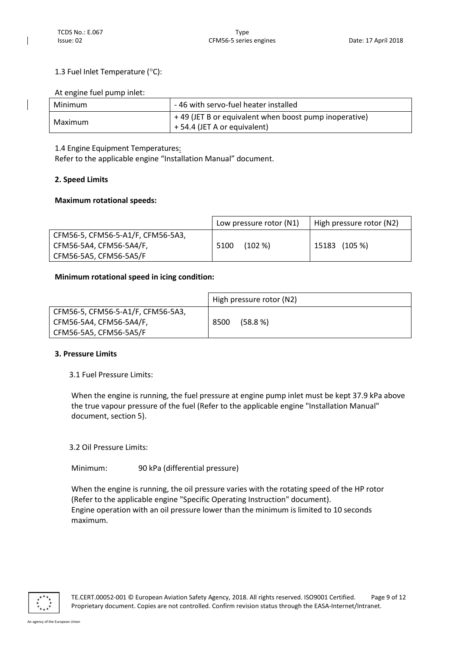#### <span id="page-8-0"></span>1.3 Fuel Inlet Temperature  $(^{\circ}C)$ :

#### At engine fuel pump inlet:

| Minimum | -46 with servo-fuel heater installed                                                    |
|---------|-----------------------------------------------------------------------------------------|
| Maximum | $+49$ (JET B or equivalent when boost pump inoperative)<br>+ 54.4 (JET A or equivalent) |

#### <span id="page-8-1"></span>1.4 Engine Equipment Temperatures:

Refer to the applicable engine "Installation Manual" document.

#### <span id="page-8-2"></span>**2. Speed Limits**

#### **Maximum rotational speeds:**

|                                   | Low pressure rotor (N1) | High pressure rotor (N2) |
|-----------------------------------|-------------------------|--------------------------|
| CFM56-5, CFM56-5-A1/F, CFM56-5A3, |                         |                          |
| CFM56-5A4, CFM56-5A4/F,           | (102%)<br>5100          | 15183 (105 %)            |
| CFM56-5A5, CFM56-5A5/F            |                         |                          |

#### **Minimum rotational speed in icing condition:**

|                                   | High pressure rotor (N2) |
|-----------------------------------|--------------------------|
| CFM56-5, CFM56-5-A1/F, CFM56-5A3, |                          |
| CFM56-5A4, CFM56-5A4/F,           | 8500<br>(58.8%)          |
| CFM56-5A5, CFM56-5A5/F            |                          |

#### <span id="page-8-3"></span>**3. Pressure Limits**

#### <span id="page-8-4"></span>3.1 Fuel Pressure Limits:

When the engine is running, the fuel pressure at engine pump inlet must be kept 37.9 kPa above the true vapour pressure of the fuel (Refer to the applicable engine "Installation Manual" document, section 5).

<span id="page-8-5"></span>3.2 Oil Pressure Limits:

Minimum: 90 kPa (differential pressure)

When the engine is running, the oil pressure varies with the rotating speed of the HP rotor (Refer to the applicable engine "Specific Operating Instruction" document). Engine operation with an oil pressure lower than the minimum is limited to 10 seconds maximum.

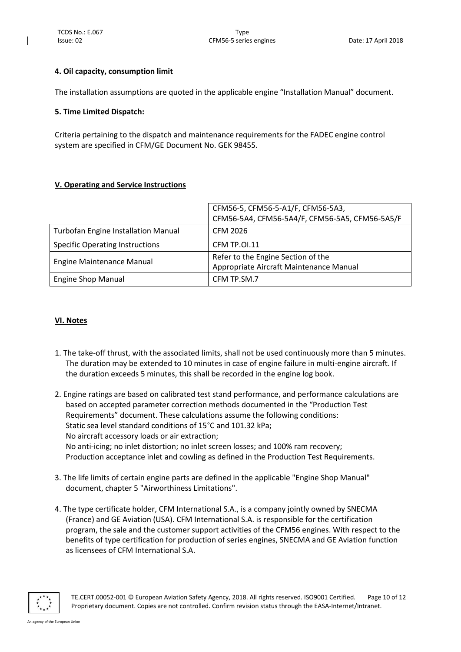#### <span id="page-9-0"></span>**4. Oil capacity, consumption limit**

The installation assumptions are quoted in the applicable engine "Installation Manual" document.

#### <span id="page-9-1"></span>**5. Time Limited Dispatch:**

Criteria pertaining to the dispatch and maintenance requirements for the FADEC engine control system are specified in CFM/GE Document No. GEK 98455.

#### <span id="page-9-2"></span>**V. Operating and Service Instructions**

|                                            | CFM56-5, CFM56-5-A1/F, CFM56-5A3,              |
|--------------------------------------------|------------------------------------------------|
|                                            | CFM56-5A4, CFM56-5A4/F, CFM56-5A5, CFM56-5A5/F |
| <b>Turbofan Engine Installation Manual</b> | <b>CFM 2026</b>                                |
| <b>Specific Operating Instructions</b>     | <b>CFM TP.OI.11</b>                            |
| <b>Engine Maintenance Manual</b>           | Refer to the Engine Section of the             |
|                                            | Appropriate Aircraft Maintenance Manual        |
| <b>Engine Shop Manual</b>                  | CFM TP.SM.7                                    |

#### <span id="page-9-3"></span>**VI. Notes**

- 1. The take-off thrust, with the associated limits, shall not be used continuously more than 5 minutes. The duration may be extended to 10 minutes in case of engine failure in multi-engine aircraft. If the duration exceeds 5 minutes, this shall be recorded in the engine log book.
- 2. Engine ratings are based on calibrated test stand performance, and performance calculations are based on accepted parameter correction methods documented in the "Production Test Requirements" document. These calculations assume the following conditions: Static sea level standard conditions of 15°C and 101.32 kPa; No aircraft accessory loads or air extraction; No anti-icing; no inlet distortion; no inlet screen losses; and 100% ram recovery; Production acceptance inlet and cowling as defined in the Production Test Requirements.
- 3. The life limits of certain engine parts are defined in the applicable "Engine Shop Manual" document, chapter 5 "Airworthiness Limitations".
- 4. The type certificate holder, CFM International S.A., is a company jointly owned by SNECMA (France) and GE Aviation (USA). CFM International S.A. is responsible for the certification program, the sale and the customer support activities of the CFM56 engines. With respect to the benefits of type certification for production of series engines, SNECMA and GE Aviation function as licensees of CFM International S.A.



TE.CERT.00052-001 © European Aviation Safety Agency, 2018. All rights reserved. ISO9001 Certified. Page 10 of 12 Proprietary document. Copies are not controlled. Confirm revision status through the EASA-Internet/Intranet.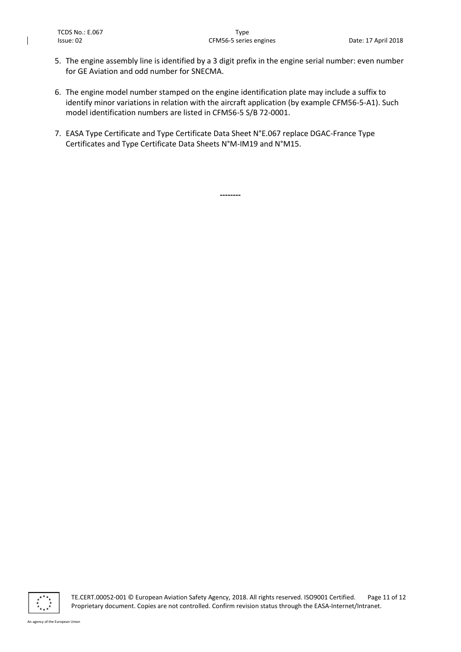- 5. The engine assembly line is identified by a 3 digit prefix in the engine serial number: even number for GE Aviation and odd number for SNECMA.
- 6. The engine model number stamped on the engine identification plate may include a suffix to identify minor variations in relation with the aircraft application (by example CFM56-5-A1). Such model identification numbers are listed in CFM56-5 S/B 72-0001.
- 7. EASA Type Certificate and Type Certificate Data Sheet N°E.067 replace DGAC-France Type Certificates and Type Certificate Data Sheets N°M-IM19 and N°M15.

**--------**



TE.CERT.00052-001 © European Aviation Safety Agency, 2018. All rights reserved. ISO9001 Certified. Page 11 of 12 Proprietary document. Copies are not controlled. Confirm revision status through the EASA-Internet/Intranet.